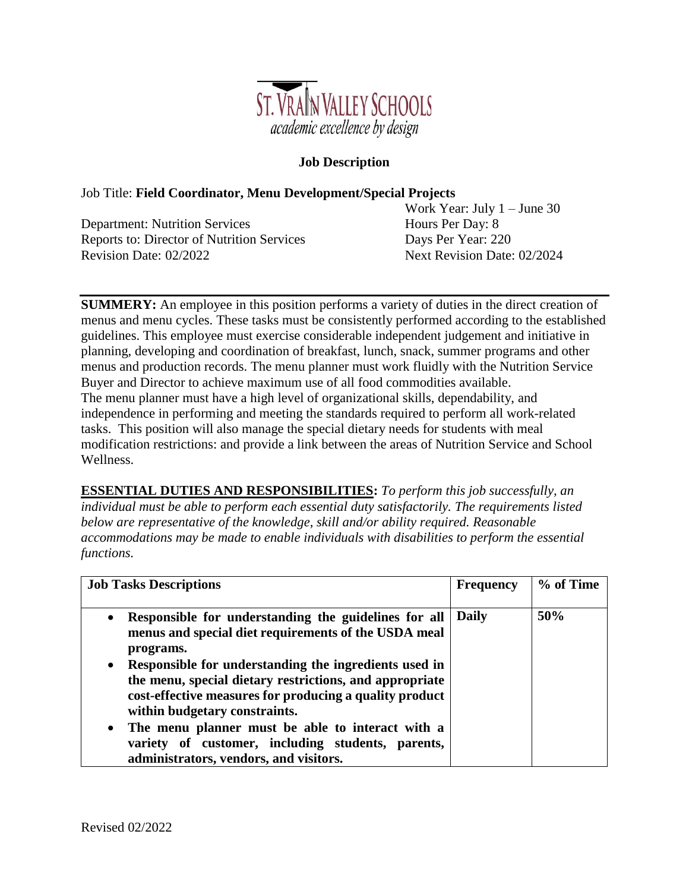

## **Job Description**

#### Job Title: **Field Coordinator, Menu Development/Special Projects**

Department: Nutrition Services Hours Per Day: 8 Reports to: Director of Nutrition Services Days Per Year: 220 Revision Date: 02/2022 Next Revision Date: 02/2024

Work Year: July 1 – June 30

**SUMMERY:** An employee in this position performs a variety of duties in the direct creation of menus and menu cycles. These tasks must be consistently performed according to the established guidelines. This employee must exercise considerable independent judgement and initiative in planning, developing and coordination of breakfast, lunch, snack, summer programs and other menus and production records. The menu planner must work fluidly with the Nutrition Service Buyer and Director to achieve maximum use of all food commodities available. The menu planner must have a high level of organizational skills, dependability, and independence in performing and meeting the standards required to perform all work-related tasks. This position will also manage the special dietary needs for students with meal modification restrictions: and provide a link between the areas of Nutrition Service and School Wellness.

**ESSENTIAL DUTIES AND RESPONSIBILITIES:** *To perform this job successfully, an individual must be able to perform each essential duty satisfactorily. The requirements listed below are representative of the knowledge, skill and/or ability required. Reasonable accommodations may be made to enable individuals with disabilities to perform the essential functions.*

| <b>Job Tasks Descriptions</b>                                                                                                                                                                                             | <b>Frequency</b> | % of Time |
|---------------------------------------------------------------------------------------------------------------------------------------------------------------------------------------------------------------------------|------------------|-----------|
| Responsible for understanding the guidelines for all<br>$\bullet$<br>menus and special diet requirements of the USDA meal<br>programs.                                                                                    | <b>Daily</b>     | 50%       |
| Responsible for understanding the ingredients used in<br>$\bullet$<br>the menu, special dietary restrictions, and appropriate<br>cost-effective measures for producing a quality product<br>within budgetary constraints. |                  |           |
| The menu planner must be able to interact with a<br>$\bullet$<br>variety of customer, including students, parents,<br>administrators, vendors, and visitors.                                                              |                  |           |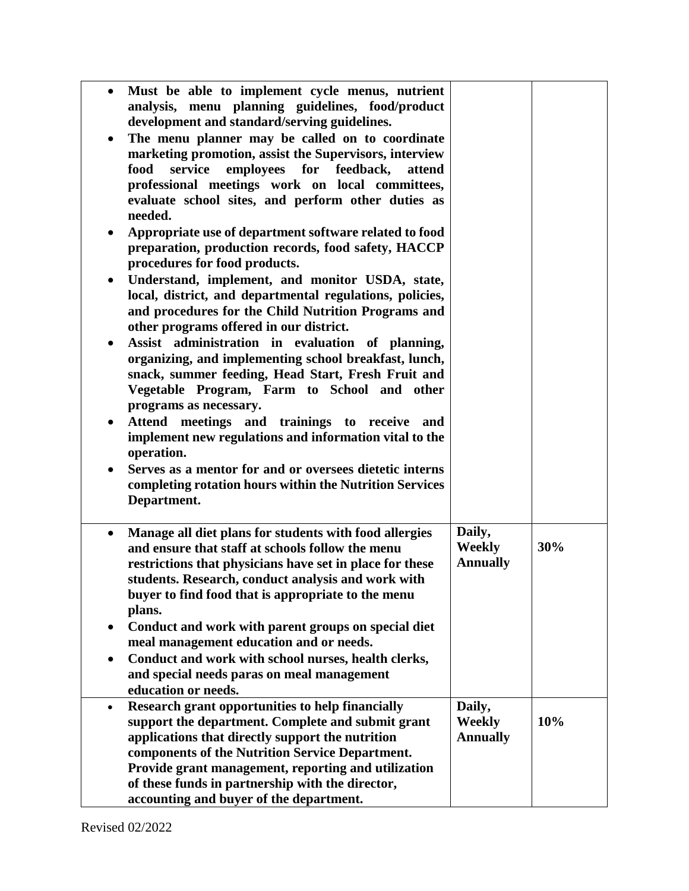| $\bullet$ | Must be able to implement cycle menus, nutrient<br>analysis, menu planning guidelines, food/product<br>development and standard/serving guidelines. |                 |     |
|-----------|-----------------------------------------------------------------------------------------------------------------------------------------------------|-----------------|-----|
|           | The menu planner may be called on to coordinate                                                                                                     |                 |     |
| $\bullet$ | marketing promotion, assist the Supervisors, interview                                                                                              |                 |     |
|           | food<br>service<br>employees for<br>feedback,<br>attend                                                                                             |                 |     |
|           | professional meetings work on local committees,                                                                                                     |                 |     |
|           | evaluate school sites, and perform other duties as                                                                                                  |                 |     |
|           | needed.                                                                                                                                             |                 |     |
| $\bullet$ | Appropriate use of department software related to food                                                                                              |                 |     |
|           | preparation, production records, food safety, HACCP                                                                                                 |                 |     |
|           | procedures for food products.                                                                                                                       |                 |     |
| $\bullet$ | Understand, implement, and monitor USDA, state,                                                                                                     |                 |     |
|           | local, district, and departmental regulations, policies,                                                                                            |                 |     |
|           | and procedures for the Child Nutrition Programs and                                                                                                 |                 |     |
|           | other programs offered in our district.                                                                                                             |                 |     |
| ٠         | Assist administration in evaluation of planning,                                                                                                    |                 |     |
|           | organizing, and implementing school breakfast, lunch,                                                                                               |                 |     |
|           | snack, summer feeding, Head Start, Fresh Fruit and                                                                                                  |                 |     |
|           | Vegetable Program, Farm to School and other                                                                                                         |                 |     |
|           | programs as necessary.                                                                                                                              |                 |     |
|           | Attend meetings and trainings to receive and                                                                                                        |                 |     |
|           | implement new regulations and information vital to the                                                                                              |                 |     |
|           | operation.                                                                                                                                          |                 |     |
| $\bullet$ | Serves as a mentor for and or oversees dietetic interns                                                                                             |                 |     |
|           | completing rotation hours within the Nutrition Services                                                                                             |                 |     |
|           | Department.                                                                                                                                         |                 |     |
| $\bullet$ | Manage all diet plans for students with food allergies                                                                                              | Daily,          |     |
|           | and ensure that staff at schools follow the menu                                                                                                    | Weekly          | 30% |
|           | restrictions that physicians have set in place for these                                                                                            | <b>Annually</b> |     |
|           | students. Research, conduct analysis and work with                                                                                                  |                 |     |
|           | buyer to find food that is appropriate to the menu                                                                                                  |                 |     |
|           | plans.                                                                                                                                              |                 |     |
| ٠         | Conduct and work with parent groups on special diet                                                                                                 |                 |     |
|           | meal management education and or needs.                                                                                                             |                 |     |
| $\bullet$ | Conduct and work with school nurses, health clerks,                                                                                                 |                 |     |
|           | and special needs paras on meal management                                                                                                          |                 |     |
|           | education or needs.                                                                                                                                 |                 |     |
| $\bullet$ | Research grant opportunities to help financially                                                                                                    | Daily,          |     |
|           | support the department. Complete and submit grant                                                                                                   | <b>Weekly</b>   | 10% |
|           | applications that directly support the nutrition                                                                                                    | <b>Annually</b> |     |
|           | components of the Nutrition Service Department.                                                                                                     |                 |     |
|           | Provide grant management, reporting and utilization                                                                                                 |                 |     |
|           | of these funds in partnership with the director,                                                                                                    |                 |     |
|           | accounting and buyer of the department.                                                                                                             |                 |     |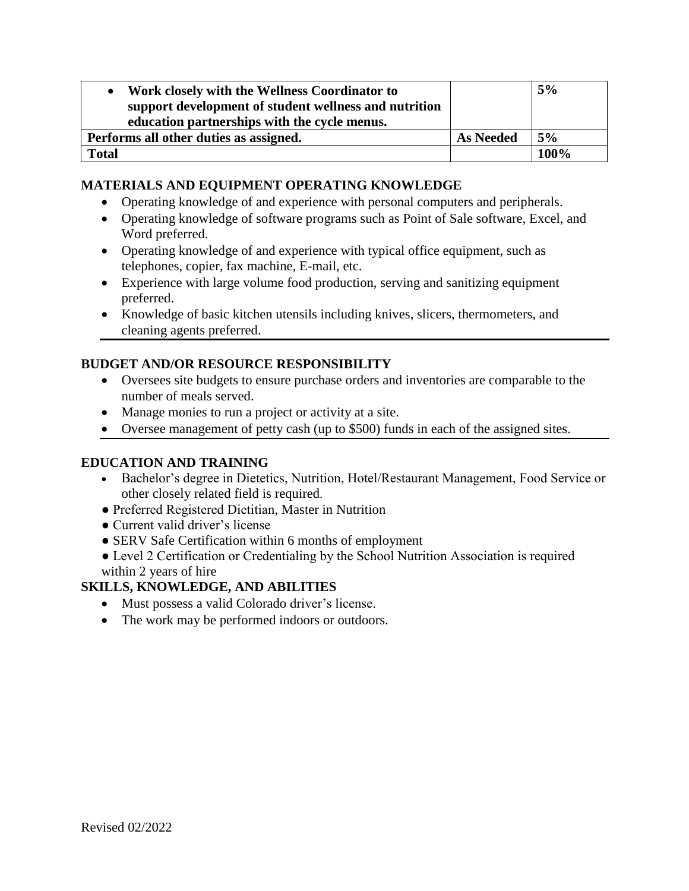| Work closely with the Wellness Coordinator to<br>support development of student wellness and nutrition<br>education partnerships with the cycle menus. |                  | 5%   |
|--------------------------------------------------------------------------------------------------------------------------------------------------------|------------------|------|
| Performs all other duties as assigned.                                                                                                                 | <b>As Needed</b> | 5%   |
| <b>Total</b>                                                                                                                                           |                  | 100% |

## **MATERIALS AND EQUIPMENT OPERATING KNOWLEDGE**

- Operating knowledge of and experience with personal computers and peripherals.
- Operating knowledge of software programs such as Point of Sale software, Excel, and Word preferred.
- Operating knowledge of and experience with typical office equipment, such as telephones, copier, fax machine, E-mail, etc.
- Experience with large volume food production, serving and sanitizing equipment preferred.
- Knowledge of basic kitchen utensils including knives, slicers, thermometers, and cleaning agents preferred.

# **BUDGET AND/OR RESOURCE RESPONSIBILITY**

- Oversees site budgets to ensure purchase orders and inventories are comparable to the number of meals served.
- Manage monies to run a project or activity at a site.
- Oversee management of petty cash (up to \$500) funds in each of the assigned sites.

## **EDUCATION AND TRAINING**

- Bachelor's degree in Dietetics, Nutrition, Hotel/Restaurant Management, Food Service or other closely related field is required.
- Preferred Registered Dietitian, Master in Nutrition
- Current valid driver's license
- SERV Safe Certification within 6 months of employment
- Level 2 Certification or Credentialing by the School Nutrition Association is required
- within 2 years of hire

# **SKILLS, KNOWLEDGE, AND ABILITIES**

- Must possess a valid Colorado driver's license.
- The work may be performed indoors or outdoors.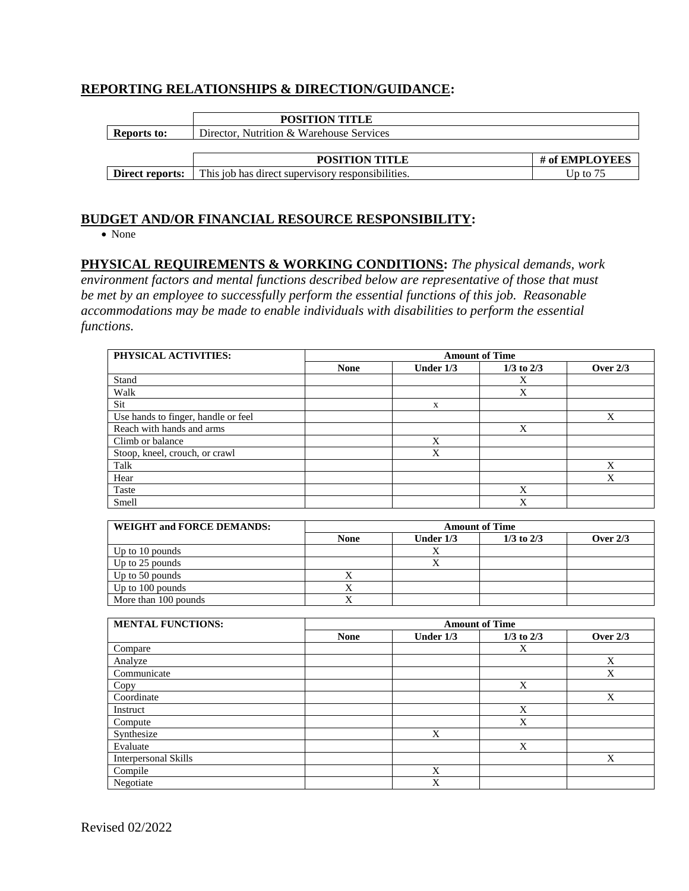## **REPORTING RELATIONSHIPS & DIRECTION/GUIDANCE:**

|                    | <b>POSITION TITLE</b>                             |                |
|--------------------|---------------------------------------------------|----------------|
| <b>Reports to:</b> | Director, Nutrition & Warehouse Services          |                |
|                    |                                                   |                |
|                    | <b>POSITION TITLE</b>                             | # of EMPLOYEES |
| Direct reports:    | This job has direct supervisory responsibilities. | Up to $75$     |

#### **BUDGET AND/OR FINANCIAL RESOURCE RESPONSIBILITY:**

• None

## **PHYSICAL REQUIREMENTS & WORKING CONDITIONS:** *The physical demands, work*

*environment factors and mental functions described below are representative of those that must be met by an employee to successfully perform the essential functions of this job. Reasonable accommodations may be made to enable individuals with disabilities to perform the essential functions.*

| PHYSICAL ACTIVITIES:                | <b>Amount of Time</b>   |                         |                         |                           |
|-------------------------------------|-------------------------|-------------------------|-------------------------|---------------------------|
|                                     | <b>None</b>             | Under 1/3               | $1/3$ to $2/3$          | Over $2/3$                |
| Stand                               |                         |                         | $\mathbf X$             |                           |
| Walk                                |                         |                         | $\overline{\mathbf{X}}$ |                           |
| Sit                                 |                         | $\mathbf X$             |                         |                           |
| Use hands to finger, handle or feel |                         |                         |                         | $\boldsymbol{\mathrm{X}}$ |
| Reach with hands and arms           |                         |                         | $\mathbf X$             |                           |
| Climb or balance                    |                         | X                       |                         |                           |
| Stoop, kneel, crouch, or crawl      |                         | $\overline{\mathbf{X}}$ |                         |                           |
| Talk                                |                         |                         |                         | $\boldsymbol{\mathrm{X}}$ |
| Hear                                |                         |                         |                         | X                         |
| Taste                               |                         |                         | $\overline{X}$          |                           |
| Smell                               |                         |                         | $\overline{X}$          |                           |
|                                     |                         |                         |                         |                           |
| <b>WEIGHT and FORCE DEMANDS:</b>    |                         |                         | <b>Amount of Time</b>   |                           |
|                                     | <b>None</b>             | Under $1/3$             | $1/3$ to $2/3$          | Over $2/3$                |
| Up to 10 pounds                     |                         | $\mathbf X$             |                         |                           |
| Up to 25 pounds                     |                         | $\overline{X}$          |                         |                           |
| Up to 50 pounds                     | $\mathbf X$             |                         |                         |                           |
| Up to 100 pounds                    | $\overline{X}$          |                         |                         |                           |
| More than 100 pounds                | $\overline{\mathbf{X}}$ |                         |                         |                           |
|                                     |                         |                         |                         |                           |
| <b>MENTAL FUNCTIONS:</b>            | <b>Amount of Time</b>   |                         |                         |                           |
|                                     | <b>None</b>             | Under 1/3               | $1/3$ to $2/3$          | <b>Over 2/3</b>           |
| Compare                             |                         |                         | $\mathbf X$             |                           |
| Analyze                             |                         |                         |                         | $\mathbf X$               |
| Communicate                         |                         |                         |                         | $\overline{\mathbf{X}}$   |
| Copy                                |                         |                         | $\mathbf X$             |                           |
| Coordinate                          |                         |                         |                         | $\boldsymbol{\mathrm{X}}$ |
| Instruct                            |                         |                         | $\mathbf X$             |                           |
| Compute                             |                         |                         | $\overline{\mathbf{X}}$ |                           |
| Synthesize                          |                         | $\mathbf X$             |                         |                           |
| Evaluate                            |                         |                         | $\overline{X}$          |                           |
| <b>Interpersonal Skills</b>         |                         |                         |                         | X                         |
| Compile                             |                         | X                       |                         |                           |
| Negotiate                           |                         | $\overline{X}$          |                         |                           |